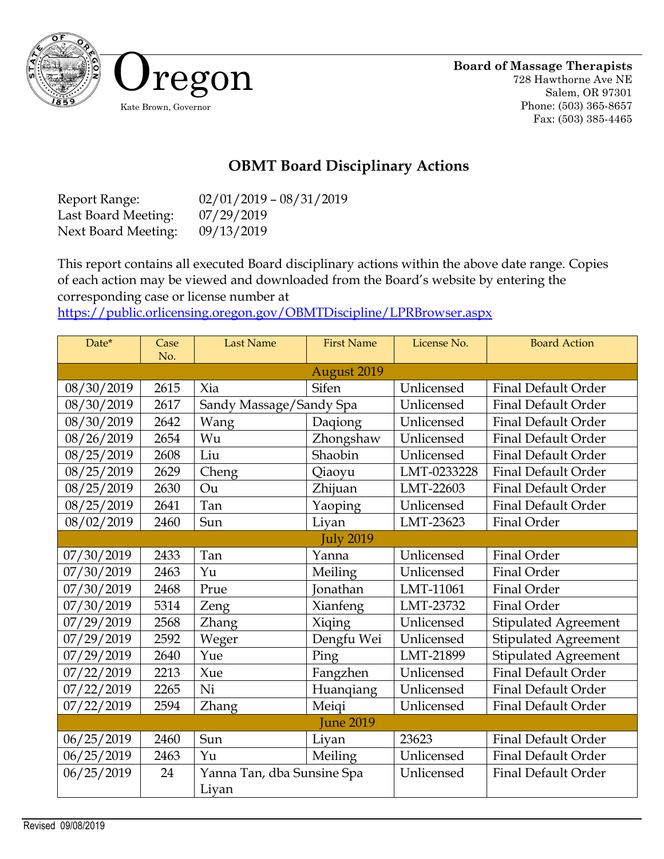

## **OBMT Board Disciplinary Actions**

Report Range: 02/01/2019 – 08/31/2019 Last Board Meeting: 07/29/2019 Next Board Meeting: 09/13/2019

This report contains all executed Board disciplinary actions within the above date range. Copies of each action may be viewed and downloaded from the Board's website by entering the corresponding case or license number at

<https://public.orlicensing.oregon.gov/OBMTDiscipline/LPRBrowser.aspx>

| Date*              | Case | <b>Last Name</b>           | <b>First Name</b> | License No. | <b>Board Action</b>         |  |  |
|--------------------|------|----------------------------|-------------------|-------------|-----------------------------|--|--|
| No.<br>August 2019 |      |                            |                   |             |                             |  |  |
| 08/30/2019         | 2615 | Xia                        | Sifen             | Unlicensed  | <b>Final Default Order</b>  |  |  |
| 08/30/2019         | 2617 | Sandy Massage/Sandy Spa    |                   | Unlicensed  | <b>Final Default Order</b>  |  |  |
| 08/30/2019         | 2642 | Wang                       | Daqiong           | Unlicensed  | Final Default Order         |  |  |
| 08/26/2019         | 2654 | Wu                         | Zhongshaw         | Unlicensed  | <b>Final Default Order</b>  |  |  |
| 08/25/2019         | 2608 | Liu                        | Shaobin           | Unlicensed  | <b>Final Default Order</b>  |  |  |
| 08/25/2019         | 2629 | Cheng                      | Qiaoyu            | LMT-0233228 | <b>Final Default Order</b>  |  |  |
| 08/25/2019         | 2630 | Ou                         | Zhijuan           | LMT-22603   | <b>Final Default Order</b>  |  |  |
| 08/25/2019         | 2641 | Tan                        | Yaoping           | Unlicensed  | Final Default Order         |  |  |
| 08/02/2019         | 2460 | Sun                        | Liyan             | LMT-23623   | Final Order                 |  |  |
| <b>July 2019</b>   |      |                            |                   |             |                             |  |  |
| 07/30/2019         | 2433 | Tan                        | Yanna             | Unlicensed  | Final Order                 |  |  |
| 07/30/2019         | 2463 | Yu                         | Meiling           | Unlicensed  | Final Order                 |  |  |
| 07/30/2019         | 2468 | Prue                       | Jonathan          | LMT-11061   | Final Order                 |  |  |
| 07/30/2019         | 5314 | Zeng                       | Xianfeng          | LMT-23732   | Final Order                 |  |  |
| 07/29/2019         | 2568 | Zhang                      | Xiqing            | Unlicensed  | <b>Stipulated Agreement</b> |  |  |
| 07/29/2019         | 2592 | Weger                      | Dengfu Wei        | Unlicensed  | Stipulated Agreement        |  |  |
| 07/29/2019         | 2640 | Yue                        | Ping              | LMT-21899   | <b>Stipulated Agreement</b> |  |  |
| 07/22/2019         | 2213 | Xue                        | Fangzhen          | Unlicensed  | <b>Final Default Order</b>  |  |  |
| 07/22/2019         | 2265 | Ni                         | Huanqiang         | Unlicensed  | <b>Final Default Order</b>  |  |  |
| 07/22/2019         | 2594 | <b>Zhang</b>               | Meiqi             | Unlicensed  | <b>Final Default Order</b>  |  |  |
| <b>June 2019</b>   |      |                            |                   |             |                             |  |  |
| 06/25/2019         | 2460 | Sun                        | Liyan             | 23623       | <b>Final Default Order</b>  |  |  |
| 06/25/2019         | 2463 | Yu                         | Meiling           | Unlicensed  | <b>Final Default Order</b>  |  |  |
| 06/25/2019         | 24   | Yanna Tan, dba Sunsine Spa |                   | Unlicensed  | <b>Final Default Order</b>  |  |  |
|                    |      | Liyan                      |                   |             |                             |  |  |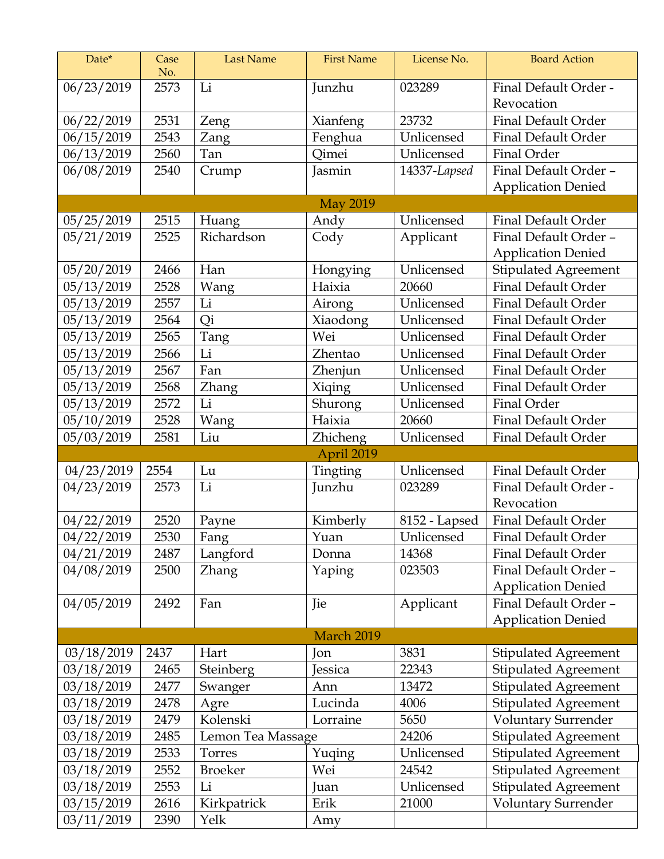| Date*                    | Case<br>No.  | <b>Last Name</b>    | <b>First Name</b>         | License No.         | <b>Board Action</b>                                      |  |  |  |
|--------------------------|--------------|---------------------|---------------------------|---------------------|----------------------------------------------------------|--|--|--|
| 06/23/2019               | 2573         | Li                  | Junzhu                    | 023289              | Final Default Order -                                    |  |  |  |
|                          |              |                     |                           |                     | Revocation                                               |  |  |  |
| 06/22/2019               | 2531         | Zeng                | Xianfeng                  | 23732               | <b>Final Default Order</b>                               |  |  |  |
| 06/15/2019               | 2543         | Zang                | Fenghua                   | Unlicensed          | <b>Final Default Order</b>                               |  |  |  |
| 06/13/2019               | 2560         | Tan                 | Qimei                     | Unlicensed          | Final Order                                              |  |  |  |
| 06/08/2019               | 2540         | Crump               | Jasmin                    | 14337-Lapsed        | Final Default Order -                                    |  |  |  |
|                          |              |                     |                           |                     | <b>Application Denied</b>                                |  |  |  |
| <b>May 2019</b>          |              |                     |                           |                     |                                                          |  |  |  |
| 05/25/2019               | 2515         | Huang               | Andy                      | Unlicensed          | <b>Final Default Order</b>                               |  |  |  |
| 05/21/2019               | 2525         | Richardson          | Cody                      | Applicant           | Final Default Order -                                    |  |  |  |
|                          |              |                     |                           |                     | <b>Application Denied</b>                                |  |  |  |
| 05/20/2019               | 2466         | Han                 | Hongying                  | Unlicensed          | <b>Stipulated Agreement</b>                              |  |  |  |
| 05/13/2019               | 2528         | Wang                | Haixia                    | 20660               | Final Default Order                                      |  |  |  |
| 05/13/2019               | 2557         | Li                  | Airong                    | Unlicensed          | <b>Final Default Order</b>                               |  |  |  |
| 05/13/2019               | 2564         | Qi                  | Xiaodong                  | Unlicensed          | <b>Final Default Order</b>                               |  |  |  |
| 05/13/2019               | 2565         | Tang                | Wei                       | Unlicensed          | <b>Final Default Order</b>                               |  |  |  |
| 05/13/2019               | 2566         | Li                  | Zhentao                   | Unlicensed          | <b>Final Default Order</b>                               |  |  |  |
| 05/13/2019               | 2567         | Fan                 | Zhenjun                   | Unlicensed          | <b>Final Default Order</b>                               |  |  |  |
| 05/13/2019               | 2568         | <b>Zhang</b>        | Xiqing                    | Unlicensed          | <b>Final Default Order</b>                               |  |  |  |
| 05/13/2019               | 2572         | Li                  | Shurong                   | Unlicensed          | Final Order                                              |  |  |  |
| 05/10/2019               | 2528         | Wang                | Haixia<br><b>Zhicheng</b> | 20660<br>Unlicensed | <b>Final Default Order</b><br><b>Final Default Order</b> |  |  |  |
| 05/03/2019               | 2581         | Liu                 |                           |                     |                                                          |  |  |  |
|                          |              |                     |                           |                     |                                                          |  |  |  |
|                          |              |                     | April 2019                |                     |                                                          |  |  |  |
| 04/23/2019               | 2554         | Lu                  | Tingting                  | Unlicensed          | <b>Final Default Order</b>                               |  |  |  |
| 04/23/2019               | 2573         | Li                  | Junzhu                    | 023289              | Final Default Order -                                    |  |  |  |
|                          |              |                     |                           |                     | Revocation                                               |  |  |  |
| 04/22/2019               | 2520         | Payne               | Kimberly                  | 8152 - Lapsed       | Final Default Order                                      |  |  |  |
| 04/22/2019               | 2530<br>2487 | Fang                | Yuan<br>Donna             | Unlicensed<br>14368 | Final Default Order<br><b>Final Default Order</b>        |  |  |  |
| 04/21/2019<br>04/08/2019 | 2500         | Langford            | Yaping                    | 023503              | Final Default Order -                                    |  |  |  |
|                          |              | Zhang               |                           |                     | <b>Application Denied</b>                                |  |  |  |
| 04/05/2019               | 2492         | Fan                 | Jie                       | Applicant           | Final Default Order -                                    |  |  |  |
|                          |              |                     |                           |                     | <b>Application Denied</b>                                |  |  |  |
|                          |              |                     | March 2019                |                     |                                                          |  |  |  |
| 03/18/2019               | 2437         | Hart                | Jon                       | 3831                | <b>Stipulated Agreement</b>                              |  |  |  |
| 03/18/2019               | 2465         | <b>Steinberg</b>    | Jessica                   | 22343               | <b>Stipulated Agreement</b>                              |  |  |  |
| 03/18/2019               | 2477         | Swanger             | Ann                       | 13472               | <b>Stipulated Agreement</b>                              |  |  |  |
| 03/18/2019               | 2478         | Agre                | Lucinda                   | 4006                | <b>Stipulated Agreement</b>                              |  |  |  |
| 03/18/2019               | 2479         | Kolenski            | Lorraine                  | 5650                | <b>Voluntary Surrender</b>                               |  |  |  |
| 03/18/2019               | 2485         | Lemon Tea Massage   |                           | 24206               | <b>Stipulated Agreement</b>                              |  |  |  |
| 03/18/2019               | 2533         | Torres              | Yuqing                    | Unlicensed          | <b>Stipulated Agreement</b>                              |  |  |  |
| 03/18/2019               | 2552         | <b>Broeker</b>      | Wei                       | 24542               | <b>Stipulated Agreement</b>                              |  |  |  |
| 03/18/2019               | 2553         | Li                  | Juan                      | Unlicensed          | <b>Stipulated Agreement</b>                              |  |  |  |
| 03/15/2019<br>03/11/2019 | 2616<br>2390 | Kirkpatrick<br>Yelk | Erik<br>Amy               | 21000               | Voluntary Surrender                                      |  |  |  |